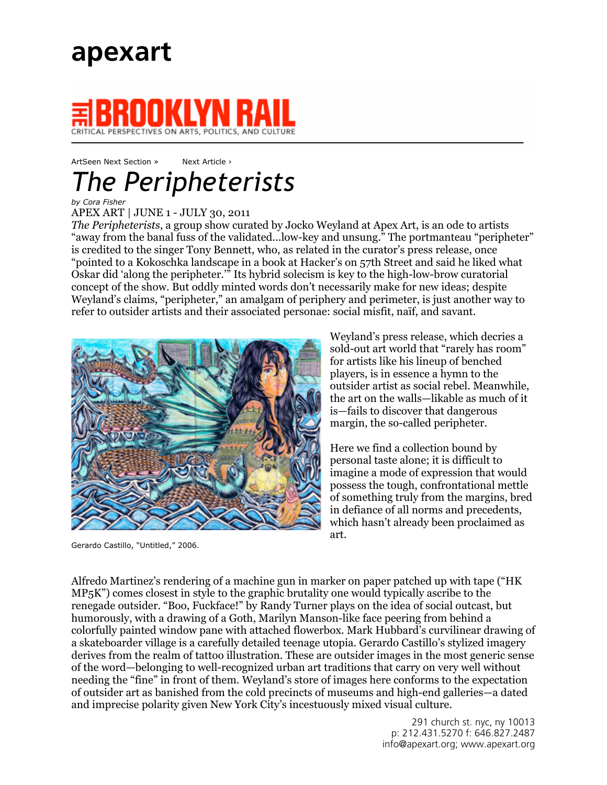

## CRITICAL PERSPECTIVES ON ARTS, POLITICS, AND CULTURE

## ArtSeen Next Section » Next Article > *The Peripheterists*

## *by Cora Fisher*

APEX ART | JUNE 1 - JULY 30, 2011

*The Peripheterists*, a group show curated by Jocko Weyland at Apex Art, is an ode to artists "away from the banal fuss of the validated...low-key and unsung." The portmanteau "peripheter" is credited to the singer Tony Bennett, who, as related in the curator's press release, once "pointed to a Kokoschka landscape in a book at Hacker's on 57th Street and said he liked what Oskar did 'along the peripheter.'" Its hybrid solecism is key to the high-low-brow curatorial concept of the show. But oddly minted words don't necessarily make for new ideas; despite Weyland's claims, "peripheter," an amalgam of periphery and perimeter, is just another way to refer to outsider artists and their associated personae: social misfit, naïf, and savant.



Gerardo Castillo, "Untitled," 2006.

Weyland's press release, which decries a sold-out art world that "rarely has room" for artists like his lineup of benched players, is in essence a hymn to the outsider artist as social rebel. Meanwhile, the art on the walls—likable as much of it is—fails to discover that dangerous margin, the so-called peripheter.

Here we find a collection bound by personal taste alone; it is difficult to imagine a mode of expression that would possess the tough, confrontational mettle of something truly from the margins, bred in defiance of all norms and precedents, which hasn't already been proclaimed as art.

Alfredo Martinez's rendering of a machine gun in marker on paper patched up with tape ("HK MP5K") comes closest in style to the graphic brutality one would typically ascribe to the renegade outsider. "Boo, Fuckface!" by Randy Turner plays on the idea of social outcast, but humorously, with a drawing of a Goth, Marilyn Manson-like face peering from behind a colorfully painted window pane with attached flowerbox. Mark Hubbard's curvilinear drawing of a skateboarder village is a carefully detailed teenage utopia. Gerardo Castillo's stylized imagery derives from the realm of tattoo illustration. These are outsider images in the most generic sense of the word—belonging to well-recognized urban art traditions that carry on very well without needing the "fine" in front of them. Weyland's store of images here conforms to the expectation of outsider art as banished from the cold precincts of museums and high-end galleries—a dated and imprecise polarity given New York City's incestuously mixed visual culture.

> 291 church st. nyc, ny 10013 p: 212.431.5270 f: 646.827.2487 info@apexart.org; www.apexart.org